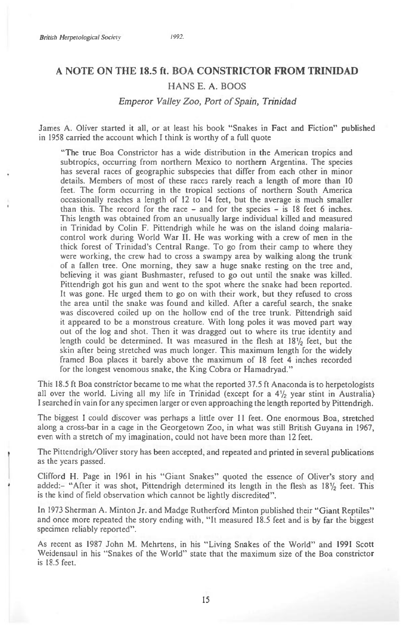# **A NOTE ON THE 18.5 ft. BOA CONSTRICTOR FROM TRINIDAD**

### HANS E. A. BOOS

#### *Emperor Valley Zoo, Port of Spain, Trinidad*

James A. Oliver started it all, or at least his book "Snakes in Fact and Fiction" published in 1958 carried the account which I think is worthy of a full quote

"The true Boa Constrictor has a wide distribution in the American tropics and subtropics, occurring from northern Mexico to northern Argentina. The species has several races of geographic subspecies that differ from each other in minor details. Members of most of these races rarely reach a length of more than 10 feet. The form occurring in the tropical sections of northern South America occasionally reaches a length of 12 to 14 feet, but the average is much smaller than this. The record for the race  $-$  and for the species  $-$  is 18 feet 6 inches. This length was obtained from an unusually large individual killed and measured in Trinidad by Colin F. Pittendrigh while he was on the island doing malariacontrol work during World War II. He was working with a crew of men in the thick forest of Trinidad's Central Range. To go from their camp to where they were working, the crew had to cross a swampy area by walking along the trunk of a fallen tree. One morning, they saw a huge snake resting on the tree and, believing it was giant Bushmaster, refused to go out until the snake was killed. Pittendrigh got his gun and went to the spot where the snake had been reported. It was gone. He urged them to go on with their work, but they refused to cross the area until the snake was found and killed. After a careful search, the snake was discovered coiled up on the hollow end of the tree trunk. Pittendrigh said it appeared to be a monstrous creature. With long poles it was moved part way out of the log and shot. Then it was dragged out to where its true identity and length could be determined. It was measured in the flesh at 18<sup>1</sup>/<sub>2</sub> feet, but the skin after being stretched was much longer. This maximum length for the widely framed Boa places it barely above the maximum of 18 feet 4 inches recorded for the longest venomous snake, the King Cobra or Hamadryad."

This 18.5 ft Boa constrictor became to me what the reported 37.5 ft Anaconda is to herpetologists all over the world. Living all my life in Trinidad (except for a  $4\frac{1}{2}$  year stint in Australia) I searched in vain for any specimen larger or even approaching the length reported by Pittendrigh.

The biggest I could discover was perhaps a little over 11 feet. One enormous Boa, stretched along a cross-bar in a cage in the Georgetown Zoo, in what was still British Guyana in 1967, even with a stretch of my imagination, could not have been more than 12 feet.

The Pittendrigh/Oliver story has been accepted, and repeated and printed in several publications as the years passed.

Clifford H. Page in 1961 in his "Giant Snakes" quoted the essence of Oliver's story and added:- "After it was shot, Pittendrigh determined its length in the flesh as  $18\frac{1}{2}$  feet. This is the kind of field observation which cannot be lightly discredited".

In 1973 Sherman A. Minton Jr. and Madge Rutherford Minton published their "Giant Reptiles" and once more repeated the story ending with, "It measured 18.5 feet and is by far the biggest specimen reliably reported".

As recent as 1987 John M. Mehrtens, in his "Living Snakes of the World" and 1991 Scott Weidensaul in his "Snakes of the World" state that the maximum size of the Boa constrictor is 18.5 feet.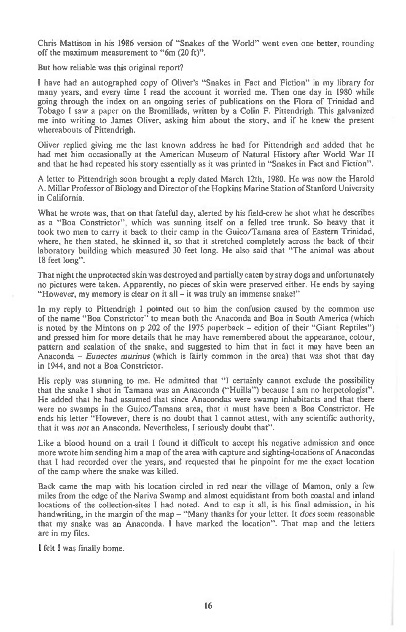Chris Mattison in his 1986 version of "Snakes of the World" went even one better, rounding off the maximum measurement to "6m (20 ft)".

But how reliable was this original report?

I have had an autographed copy of Oliver's "Snakes in Fact and Fiction" in my library for many years, and every time I read the account it worried me. Then one day in 1980 while going through the index on an ongoing series of publications on the Flora of Trinidad and Tobago I saw a paper on the Bromiliads, written by a Colin F. Pittendrigh. This galvanized me into writing to James Oliver, asking him about the story, and if he knew the present whereabouts of Pittendrigh.

Oliver replied giving me the last known address he had for Pittendrigh and added that he had met him occasionally at the American Museum of Natural History after World War II and that he had repeated his story essentially as it was printed in "Snakes in Fact and Fiction".

A letter to Pittendrigh soon brought a reply dated March 12th, 1980. He was now the Harold A. Millar Professor of Biology and Director of the Hopkins Marine Station of Stanford University in California.

What he wrote was, that on that fateful day, alerted by his field-crew he shot what he describes as a "Boa Constrictor", which was sunning itself on a felled tree trunk. So heavy that it took two men to carry it back to their camp in the Guico/Tamana area of Eastern Trinidad, where, he then stated, he skinned it, so that it stretched completely across the back of their laboratory building which measured 30 feet long. He also said that "The animal was about 18 feet long".

That night the unprotected skin was destroyed and partially eaten by stray dogs and unfortunately no pictures were taken. Apparently, no pieces of skin were preserved either. He ends by saying "However, my memory is clear on it all — it was truly an immense snake!"

In my reply to Pittendrigh I pointed out to him the confusion caused by the common use of the name "Boa Constrictor" to mean both the Anaconda and Boa in South America (which is noted by the Mintons on p 202 of the 1975 paperback — edition of their "Giant Reptiles") and pressed him for more details that he may have remembered about the appearance, colour, pattern and scalation of the snake, and suggested to him that in fact it may have been an Anaconda — *Eunectes murinus* (which is fairly common in the area) that was shot that day in 1944, and not a Boa Constrictor.

His reply was stunning to me. He admitted that "I certainly cannot exclude the possibility that the snake I shot in Tamana was an Anaconda ("Huilla") because I am no herpetologist". He added that he had assumed that since Anacondas were swamp inhabitants and that there were no swamps in the Guico/Tamana area, that it must have been a Boa Constrictor. He ends his letter "However, there is no doubt that 1 cannot attest, with any scientific authority, that it was *not* an Anaconda. Nevertheless, I seriously doubt that".

Like a blood hound on a trail I found it difficult to accept his negative admission and once more wrote him sending him a map of the area with capture and sighting-locations of Anacondas that I had recorded over the years, and requested that he pinpoint for me the exact location of the camp where the snake was killed.

Back came the map with his location circled in red near the village of Mamon, only a few miles from the edge of the Nariva Swamp and almost equidistant from both coastal and inland locations of the collection-sites I had noted. And to cap it all, is his final admission, in his handwriting, in the margin of the map — "Many thanks for your letter. It *does* seem reasonable that my snake was an Anaconda. I have marked the location". That map and the letters are in my files.

I felt I was finally home.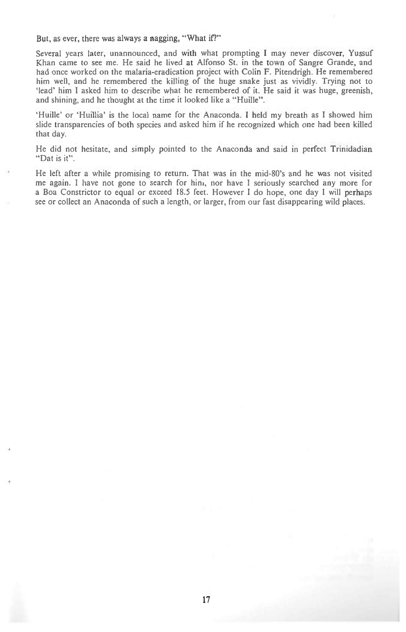But, as ever, there was always a nagging, "What if?"

Several years later, unannounced, and with what prompting I may never discover, Yussuf Khan came to see me. He said he lived at Alfonso St. in the town of Sangre Grande, and had once worked on the malaria-eradication project with Colin F. Pitendrigh. He remembered him well, and he remembered the killing of the huge snake just as vividly. Trying not to 'lead' him I asked him to describe what he remembered of it. He said it was huge, greenish, and shining, and he thought at the time it looked like a "Huille".

'Huille' or 'Huillia' is the local name for the Anaconda. I held my breath as I showed him slide transparencies of both species and asked him if he recognized which one had been killed that day.

He did not hesitate, and simply pointed to the Anaconda and said in perfect Trinidadian "Dat is it".

He left after a while promising to return. That was in the mid-80's and he was not visited me again. I have not gone to search for hint, nor have I seriously searched any more for a Boa Constrictor to equal or exceed 18.5 feet. However I do hope, one day I will perhaps see or collect an Anaconda of such a length, or larger, from our fast disappearing wild places.